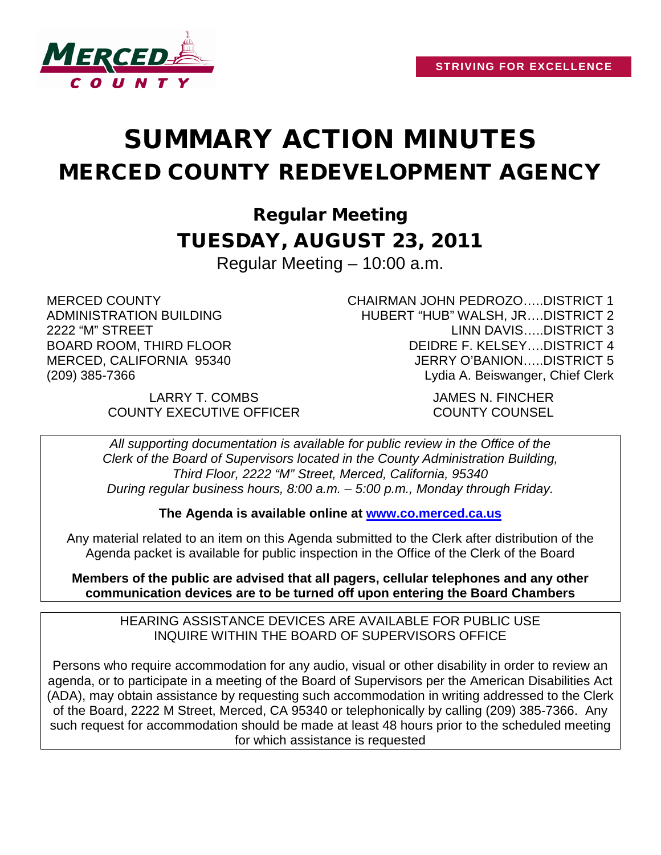

# SUMMARY ACTION MINUTES MERCED COUNTY REDEVELOPMENT AGENCY

Regular Meeting TUESDAY, AUGUST 23, 2011

Regular Meeting – 10:00 a.m.

MERCED COUNTY ADMINISTRATION BUILDING 2222 "M" STREET BOARD ROOM, THIRD FLOOR MERCED, CALIFORNIA 95340 (209) 385-7366

CHAIRMAN JOHN PEDROZO…..DISTRICT 1 HUBERT "HUB" WALSH, JR….DISTRICT 2 LINN DAVIS…..DISTRICT 3 DEIDRE F. KELSEY….DISTRICT 4 JERRY O'BANION…..DISTRICT 5 Lydia A. Beiswanger, Chief Clerk

LARRY T. COMBS JAMES N. FINCHER COUNTY EXECUTIVE OFFICER COUNTY COUNSEL

*All supporting documentation is available for public review in the Office of the Clerk of the Board of Supervisors located in the County Administration Building, Third Floor, 2222 "M" Street, Merced, California, 95340 During regular business hours, 8:00 a.m. – 5:00 p.m., Monday through Friday.*

**The Agenda is available online at [www.co.merced.ca.us](http://www.co.merced.ca.us/)**

Any material related to an item on this Agenda submitted to the Clerk after distribution of the Agenda packet is available for public inspection in the Office of the Clerk of the Board

**Members of the public are advised that all pagers, cellular telephones and any other communication devices are to be turned off upon entering the Board Chambers**

HEARING ASSISTANCE DEVICES ARE AVAILABLE FOR PUBLIC USE INQUIRE WITHIN THE BOARD OF SUPERVISORS OFFICE

Persons who require accommodation for any audio, visual or other disability in order to review an agenda, or to participate in a meeting of the Board of Supervisors per the American Disabilities Act (ADA), may obtain assistance by requesting such accommodation in writing addressed to the Clerk of the Board, 2222 M Street, Merced, CA 95340 or telephonically by calling (209) 385-7366. Any such request for accommodation should be made at least 48 hours prior to the scheduled meeting for which assistance is requested